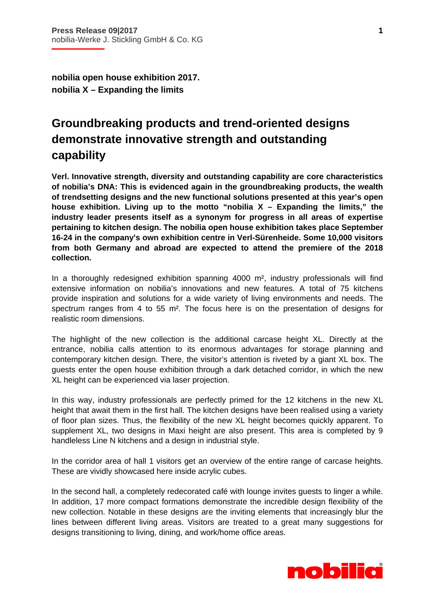i

**nobilia open house exhibition 2017. nobilia X – Expanding the limits** 

## **Groundbreaking products and trend-oriented designs demonstrate innovative strength and outstanding capability**

**Verl. Innovative strength, diversity and outstanding capability are core characteristics of nobilia's DNA: This is evidenced again in the groundbreaking products, the wealth of trendsetting designs and the new functional solutions presented at this year's open house exhibition. Living up to the motto "nobilia X – Expanding the limits," the industry leader presents itself as a synonym for progress in all areas of expertise pertaining to kitchen design. The nobilia open house exhibition takes place September 16-24 in the company's own exhibition centre in Verl-Sürenheide. Some 10,000 visitors from both Germany and abroad are expected to attend the premiere of the 2018 collection.** 

In a thoroughly redesigned exhibition spanning 4000 m², industry professionals will find extensive information on nobilia's innovations and new features. A total of 75 kitchens provide inspiration and solutions for a wide variety of living environments and needs. The spectrum ranges from 4 to 55 m<sup>2</sup>. The focus here is on the presentation of designs for realistic room dimensions.

The highlight of the new collection is the additional carcase height XL. Directly at the entrance, nobilia calls attention to its enormous advantages for storage planning and contemporary kitchen design. There, the visitor's attention is riveted by a giant XL box. The guests enter the open house exhibition through a dark detached corridor, in which the new XL height can be experienced via laser projection.

In this way, industry professionals are perfectly primed for the 12 kitchens in the new XL height that await them in the first hall. The kitchen designs have been realised using a variety of floor plan sizes. Thus, the flexibility of the new XL height becomes quickly apparent. To supplement XL, two designs in Maxi height are also present. This area is completed by 9 handleless Line N kitchens and a design in industrial style.

In the corridor area of hall 1 visitors get an overview of the entire range of carcase heights. These are vividly showcased here inside acrylic cubes.

In the second hall, a completely redecorated café with lounge invites guests to linger a while. In addition, 17 more compact formations demonstrate the incredible design flexibility of the new collection. Notable in these designs are the inviting elements that increasingly blur the lines between different living areas. Visitors are treated to a great many suggestions for designs transitioning to living, dining, and work/home office areas.